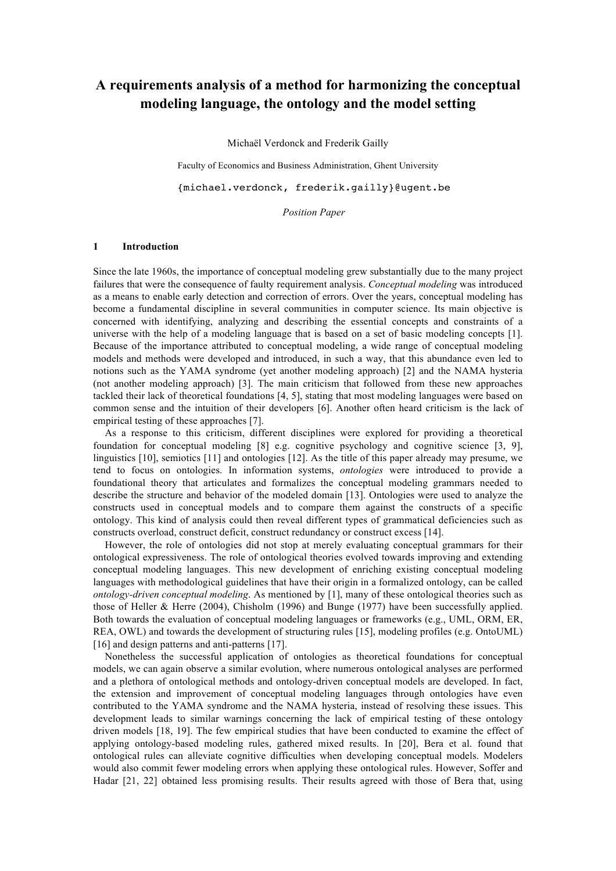# **A requirements analysis of a method for harmonizing the conceptual modeling language, the ontology and the model setting**

Michaël Verdonck and Frederik Gailly

Faculty of Economics and Business Administration, Ghent University

{michael.verdonck, frederik.gailly}@ugent.be

*Position Paper*

#### **1 Introduction**

Since the late 1960s, the importance of conceptual modeling grew substantially due to the many project failures that were the consequence of faulty requirement analysis. *Conceptual modeling* was introduced as a means to enable early detection and correction of errors. Over the years, conceptual modeling has become a fundamental discipline in several communities in computer science. Its main objective is concerned with identifying, analyzing and describing the essential concepts and constraints of a universe with the help of a modeling language that is based on a set of basic modeling concepts [1]. Because of the importance attributed to conceptual modeling, a wide range of conceptual modeling models and methods were developed and introduced, in such a way, that this abundance even led to notions such as the YAMA syndrome (yet another modeling approach) [2] and the NAMA hysteria (not another modeling approach) [3]. The main criticism that followed from these new approaches tackled their lack of theoretical foundations [4, 5], stating that most modeling languages were based on common sense and the intuition of their developers [6]. Another often heard criticism is the lack of empirical testing of these approaches [7].

As a response to this criticism, different disciplines were explored for providing a theoretical foundation for conceptual modeling [8] e.g. cognitive psychology and cognitive science [3, 9], linguistics [10], semiotics [11] and ontologies [12]. As the title of this paper already may presume, we tend to focus on ontologies. In information systems, *ontologies* were introduced to provide a foundational theory that articulates and formalizes the conceptual modeling grammars needed to describe the structure and behavior of the modeled domain [13]. Ontologies were used to analyze the constructs used in conceptual models and to compare them against the constructs of a specific ontology. This kind of analysis could then reveal different types of grammatical deficiencies such as constructs overload, construct deficit, construct redundancy or construct excess [14].

However, the role of ontologies did not stop at merely evaluating conceptual grammars for their ontological expressiveness. The role of ontological theories evolved towards improving and extending conceptual modeling languages. This new development of enriching existing conceptual modeling languages with methodological guidelines that have their origin in a formalized ontology, can be called *ontology-driven conceptual modeling*. As mentioned by [1], many of these ontological theories such as those of Heller & Herre (2004), Chisholm (1996) and Bunge (1977) have been successfully applied. Both towards the evaluation of conceptual modeling languages or frameworks (e.g., UML, ORM, ER, REA, OWL) and towards the development of structuring rules [15], modeling profiles (e.g. OntoUML) [16] and design patterns and anti-patterns [17].

Nonetheless the successful application of ontologies as theoretical foundations for conceptual models, we can again observe a similar evolution, where numerous ontological analyses are performed and a plethora of ontological methods and ontology-driven conceptual models are developed. In fact, the extension and improvement of conceptual modeling languages through ontologies have even contributed to the YAMA syndrome and the NAMA hysteria, instead of resolving these issues. This development leads to similar warnings concerning the lack of empirical testing of these ontology driven models [18, 19]. The few empirical studies that have been conducted to examine the effect of applying ontology-based modeling rules, gathered mixed results. In [20], Bera et al. found that ontological rules can alleviate cognitive difficulties when developing conceptual models. Modelers would also commit fewer modeling errors when applying these ontological rules. However, Soffer and Hadar [21, 22] obtained less promising results. Their results agreed with those of Bera that, using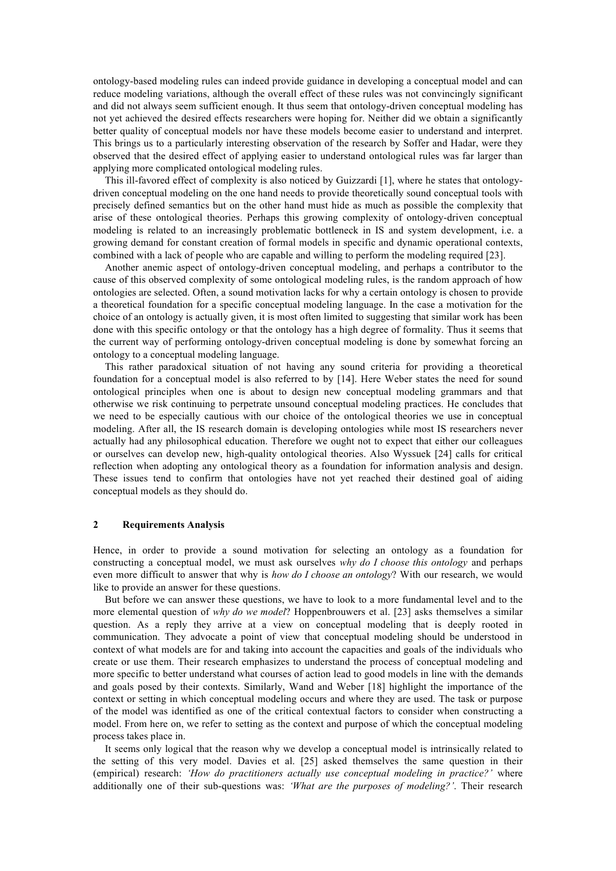ontology-based modeling rules can indeed provide guidance in developing a conceptual model and can reduce modeling variations, although the overall effect of these rules was not convincingly significant and did not always seem sufficient enough. It thus seem that ontology-driven conceptual modeling has not yet achieved the desired effects researchers were hoping for. Neither did we obtain a significantly better quality of conceptual models nor have these models become easier to understand and interpret. This brings us to a particularly interesting observation of the research by Soffer and Hadar, were they observed that the desired effect of applying easier to understand ontological rules was far larger than applying more complicated ontological modeling rules.

This ill-favored effect of complexity is also noticed by Guizzardi [1], where he states that ontologydriven conceptual modeling on the one hand needs to provide theoretically sound conceptual tools with precisely defined semantics but on the other hand must hide as much as possible the complexity that arise of these ontological theories. Perhaps this growing complexity of ontology-driven conceptual modeling is related to an increasingly problematic bottleneck in IS and system development, i.e. a growing demand for constant creation of formal models in specific and dynamic operational contexts, combined with a lack of people who are capable and willing to perform the modeling required [23].

Another anemic aspect of ontology-driven conceptual modeling, and perhaps a contributor to the cause of this observed complexity of some ontological modeling rules, is the random approach of how ontologies are selected. Often, a sound motivation lacks for why a certain ontology is chosen to provide a theoretical foundation for a specific conceptual modeling language. In the case a motivation for the choice of an ontology is actually given, it is most often limited to suggesting that similar work has been done with this specific ontology or that the ontology has a high degree of formality. Thus it seems that the current way of performing ontology-driven conceptual modeling is done by somewhat forcing an ontology to a conceptual modeling language.

This rather paradoxical situation of not having any sound criteria for providing a theoretical foundation for a conceptual model is also referred to by [14]. Here Weber states the need for sound ontological principles when one is about to design new conceptual modeling grammars and that otherwise we risk continuing to perpetrate unsound conceptual modeling practices. He concludes that we need to be especially cautious with our choice of the ontological theories we use in conceptual modeling. After all, the IS research domain is developing ontologies while most IS researchers never actually had any philosophical education. Therefore we ought not to expect that either our colleagues or ourselves can develop new, high-quality ontological theories. Also Wyssuek [24] calls for critical reflection when adopting any ontological theory as a foundation for information analysis and design. These issues tend to confirm that ontologies have not yet reached their destined goal of aiding conceptual models as they should do.

### **2 Requirements Analysis**

Hence, in order to provide a sound motivation for selecting an ontology as a foundation for constructing a conceptual model, we must ask ourselves *why do I choose this ontology* and perhaps even more difficult to answer that why is *how do I choose an ontology*? With our research, we would like to provide an answer for these questions.

But before we can answer these questions, we have to look to a more fundamental level and to the more elemental question of *why do we model*? Hoppenbrouwers et al. [23] asks themselves a similar question. As a reply they arrive at a view on conceptual modeling that is deeply rooted in communication. They advocate a point of view that conceptual modeling should be understood in context of what models are for and taking into account the capacities and goals of the individuals who create or use them. Their research emphasizes to understand the process of conceptual modeling and more specific to better understand what courses of action lead to good models in line with the demands and goals posed by their contexts. Similarly, Wand and Weber [18] highlight the importance of the context or setting in which conceptual modeling occurs and where they are used. The task or purpose of the model was identified as one of the critical contextual factors to consider when constructing a model. From here on, we refer to setting as the context and purpose of which the conceptual modeling process takes place in.

It seems only logical that the reason why we develop a conceptual model is intrinsically related to the setting of this very model. Davies et al. [25] asked themselves the same question in their (empirical) research: *'How do practitioners actually use conceptual modeling in practice?'* where additionally one of their sub-questions was: *'What are the purposes of modeling?'*. Their research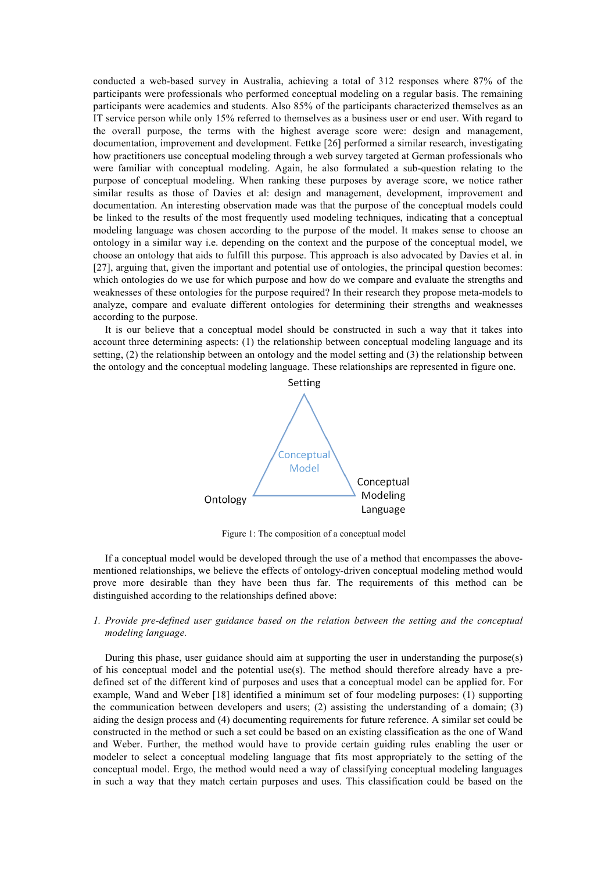conducted a web-based survey in Australia, achieving a total of 312 responses where 87% of the participants were professionals who performed conceptual modeling on a regular basis. The remaining participants were academics and students. Also 85% of the participants characterized themselves as an IT service person while only 15% referred to themselves as a business user or end user. With regard to the overall purpose, the terms with the highest average score were: design and management, documentation, improvement and development. Fettke [26] performed a similar research, investigating how practitioners use conceptual modeling through a web survey targeted at German professionals who were familiar with conceptual modeling. Again, he also formulated a sub-question relating to the purpose of conceptual modeling. When ranking these purposes by average score, we notice rather similar results as those of Davies et al: design and management, development, improvement and documentation. An interesting observation made was that the purpose of the conceptual models could be linked to the results of the most frequently used modeling techniques, indicating that a conceptual modeling language was chosen according to the purpose of the model. It makes sense to choose an ontology in a similar way i.e. depending on the context and the purpose of the conceptual model, we choose an ontology that aids to fulfill this purpose. This approach is also advocated by Davies et al. in [27], arguing that, given the important and potential use of ontologies, the principal question becomes: which ontologies do we use for which purpose and how do we compare and evaluate the strengths and weaknesses of these ontologies for the purpose required? In their research they propose meta-models to analyze, compare and evaluate different ontologies for determining their strengths and weaknesses according to the purpose.

It is our believe that a conceptual model should be constructed in such a way that it takes into account three determining aspects: (1) the relationship between conceptual modeling language and its setting, (2) the relationship between an ontology and the model setting and (3) the relationship between the ontology and the conceptual modeling language. These relationships are represented in figure one.



Figure 1: The composition of a conceptual model

If a conceptual model would be developed through the use of a method that encompasses the abovementioned relationships, we believe the effects of ontology-driven conceptual modeling method would prove more desirable than they have been thus far. The requirements of this method can be distinguished according to the relationships defined above:

### *1. Provide pre-defined user guidance based on the relation between the setting and the conceptual modeling language.*

During this phase, user guidance should aim at supporting the user in understanding the purpose(s) of his conceptual model and the potential use(s). The method should therefore already have a predefined set of the different kind of purposes and uses that a conceptual model can be applied for. For example, Wand and Weber [18] identified a minimum set of four modeling purposes: (1) supporting the communication between developers and users; (2) assisting the understanding of a domain; (3) aiding the design process and (4) documenting requirements for future reference. A similar set could be constructed in the method or such a set could be based on an existing classification as the one of Wand and Weber. Further, the method would have to provide certain guiding rules enabling the user or modeler to select a conceptual modeling language that fits most appropriately to the setting of the conceptual model. Ergo, the method would need a way of classifying conceptual modeling languages in such a way that they match certain purposes and uses. This classification could be based on the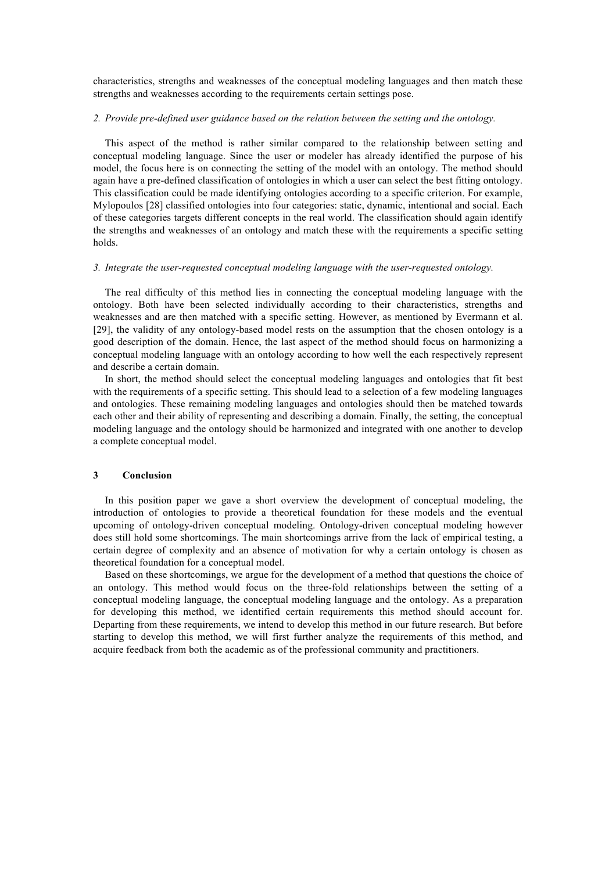characteristics, strengths and weaknesses of the conceptual modeling languages and then match these strengths and weaknesses according to the requirements certain settings pose.

### *2. Provide pre-defined user guidance based on the relation between the setting and the ontology.*

This aspect of the method is rather similar compared to the relationship between setting and conceptual modeling language. Since the user or modeler has already identified the purpose of his model, the focus here is on connecting the setting of the model with an ontology. The method should again have a pre-defined classification of ontologies in which a user can select the best fitting ontology. This classification could be made identifying ontologies according to a specific criterion. For example, Mylopoulos [28] classified ontologies into four categories: static, dynamic, intentional and social. Each of these categories targets different concepts in the real world. The classification should again identify the strengths and weaknesses of an ontology and match these with the requirements a specific setting holds.

#### *3. Integrate the user-requested conceptual modeling language with the user-requested ontology.*

The real difficulty of this method lies in connecting the conceptual modeling language with the ontology. Both have been selected individually according to their characteristics, strengths and weaknesses and are then matched with a specific setting. However, as mentioned by Evermann et al. [29], the validity of any ontology-based model rests on the assumption that the chosen ontology is a good description of the domain. Hence, the last aspect of the method should focus on harmonizing a conceptual modeling language with an ontology according to how well the each respectively represent and describe a certain domain.

In short, the method should select the conceptual modeling languages and ontologies that fit best with the requirements of a specific setting. This should lead to a selection of a few modeling languages and ontologies. These remaining modeling languages and ontologies should then be matched towards each other and their ability of representing and describing a domain. Finally, the setting, the conceptual modeling language and the ontology should be harmonized and integrated with one another to develop a complete conceptual model.

#### **3 Conclusion**

In this position paper we gave a short overview the development of conceptual modeling, the introduction of ontologies to provide a theoretical foundation for these models and the eventual upcoming of ontology-driven conceptual modeling. Ontology-driven conceptual modeling however does still hold some shortcomings. The main shortcomings arrive from the lack of empirical testing, a certain degree of complexity and an absence of motivation for why a certain ontology is chosen as theoretical foundation for a conceptual model.

Based on these shortcomings, we argue for the development of a method that questions the choice of an ontology. This method would focus on the three-fold relationships between the setting of a conceptual modeling language, the conceptual modeling language and the ontology. As a preparation for developing this method, we identified certain requirements this method should account for. Departing from these requirements, we intend to develop this method in our future research. But before starting to develop this method, we will first further analyze the requirements of this method, and acquire feedback from both the academic as of the professional community and practitioners.